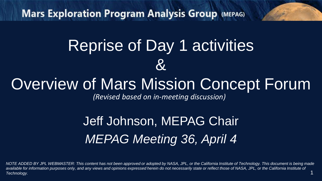**Mars Exploration Program Analysis Group (MEPAG)** 

# Reprise of Day 1 activities  $\mathcal{R}_{\cdot}$

# Overview of Mars Mission Concept Forum

*(Revised based on in-meeting discussion)*

# Jeff Johnson, MEPAG Chair *MEPAG Meeting 36, April 4*

1 *NOTE ADDED BY JPL WEBMASTER: This content has not been approved or adopted by NASA, JPL, or the California Institute of Technology. This document is being made available for information purposes only, and any views and opinions expressed herein do not necessarily state or reflect those of NASA, JPL, or the California Institute of Technology.*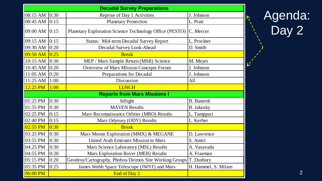| <b>Decadal Survey Preparations</b>  |      |                                                                   |                     |  |  |  |
|-------------------------------------|------|-------------------------------------------------------------------|---------------------|--|--|--|
| 08:15 AM                            | 0:30 | Reprise of Day 1 Activities                                       | J. Johnson          |  |  |  |
| 08:45 AM                            | 0:15 | <b>Planetary Protection</b>                                       | L. Pratt            |  |  |  |
| 09:00 AM                            | 0:15 | Planetary Exploration Science Technology Office (PESTO)           | C. Mercer           |  |  |  |
| 09:15 AM                            | 0:15 | Status: Mid-term Decadal Survey Report                            | L. Prockter         |  |  |  |
| 09:30 AM                            | 0:20 | Decadal Survey Look-Ahead                                         | D. Smith            |  |  |  |
| $09:50$ AM                          | 0:25 | <b>Break</b>                                                      |                     |  |  |  |
| $10:15$ AM $ 0:30$                  |      | MEP / Mars Sample Return (MSR) Science                            | M. Meyer            |  |  |  |
| 10:45 AM $ 0:20$                    |      | Overview of Mars Mission Concepts Forum                           | J. Johnson          |  |  |  |
| 11:05 AM                            | 0:20 | Preparations for Decadal                                          | J. Johnson          |  |  |  |
| 11:25 AM                            | 1:00 | Discussion                                                        | All                 |  |  |  |
| 12:25 PM                            | 1:00 | <b>LUNCH</b>                                                      |                     |  |  |  |
| <b>Reports from Mars Missions I</b> |      |                                                                   |                     |  |  |  |
| 01:25 PM                            | 0:30 | InSight                                                           | <b>B.</b> Banerdt   |  |  |  |
| 01:55 PM                            | 0:30 | <b>MAVEN</b> Results                                              | <b>B.</b> Jakosky   |  |  |  |
| 02:25 PM                            | 0:15 | Mars Reconnaissance Orbiter (MRO) Results                         | L. Tamppari         |  |  |  |
| 02:40 PM                            | 0:15 | Mars Odyssey (ODY) Results                                        | L. Kerber           |  |  |  |
| $02:55$ PM                          | 0:30 | <b>Break</b>                                                      |                     |  |  |  |
| 03:25 PM                            | 0:30 | Mars Moons Exploration (MMX) & MEGANE                             | D. Lawrence         |  |  |  |
| 03:55 PM                            | 0:30 | United Arab Emirates Mission to Mars                              | S. Amiri            |  |  |  |
| 04:25 PM                            | 0:30 | Mars Science Laboratory (MSL) Results                             | A. Vasavada         |  |  |  |
| 04:55 PM                            | 0:20 | Mars Exploration Rover (MER) Results                              | A. Fraeman          |  |  |  |
| 05:15 PM                            | 0:20 | Geodesy/Cartography, Phobos/Deimos Site Working Groups T. Duxbury |                     |  |  |  |
| 05:35 PM                            | 0:25 | James Webb Space Telescope (JWST) and Mars                        | H. Hammel, S. Milam |  |  |  |
| $06:00$ PM                          |      | End of Day 2                                                      |                     |  |  |  |

# Agenda: Day 2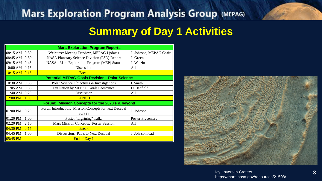# **Mars Exploration Program Analysis Group (MEPAG)**

# **Summary of Day 1 Activities**

| <b>Mars Exploration Program Reports</b>              |      |                                                                 |                          |  |  |
|------------------------------------------------------|------|-----------------------------------------------------------------|--------------------------|--|--|
| 08:15 AM 0:30                                        |      | Welcome: Meeting Preview, MEPAG Updates                         | J. Johnson, MEPAG Chair  |  |  |
| 08:45 AM 0:30                                        |      | NASA Planetary Science Division (PSD) Report                    | J. Green                 |  |  |
| 09:15 AM 0:45                                        |      | NASA: Mars Exploration Program (MEP) Status                     | J. Watzin                |  |  |
| 10:00 AM 0:15                                        |      | Discussion                                                      | All                      |  |  |
| $10:15$ AM                                           | 0:15 | <b>Break</b>                                                    |                          |  |  |
| <b>Potential MEPAG Goals Revision: Polar Science</b> |      |                                                                 |                          |  |  |
| 10:30 AM 0:35                                        |      | Polar Science Objectives & Investigations                       | I. Smith                 |  |  |
| 11:05 AM 0:35                                        |      | <b>Evaluation by MEPAG Goals Committee</b>                      | D. Banfield              |  |  |
| 11:40 AM 0:20                                        |      | Discussion                                                      | All                      |  |  |
| $12:00$ PM                                           | 1:00 | <b>LUNCH</b>                                                    |                          |  |  |
| Forum: Mission Concepts for the 2020's & beyond      |      |                                                                 |                          |  |  |
| 01:00 PM                                             | 0:20 | Forum Introduction: Mission Concepts for next Decadal<br>Survey | J. Johnson               |  |  |
| $01:20$ PM                                           | 1:00 | Poster "Lightning" Talks                                        | <b>Poster Presenters</b> |  |  |
| 02:20 PM                                             | 2:10 | Mars Mission Concepts: Poster Session                           | All                      |  |  |
| $04:30$ PM                                           | 0:15 | <b>Break</b>                                                    |                          |  |  |
| 04:45 PM                                             | 1:00 | Discussion: Paths to Next Decadal                               | J. Johnson lead          |  |  |
| $05:45$ PM                                           |      | End of Day 1                                                    |                          |  |  |



Icy Layers in Craters https://mars.nasa.gov/resources/21508/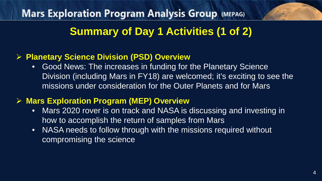# **Mars Exploration Program Analysis Group (MEPAG) Summary of Day 1 Activities (1 of 2)**

#### **Planetary Science Division (PSD) Overview**

• Good News: The increases in funding for the Planetary Science Division (including Mars in FY18) are welcomed; it's exciting to see the missions under consideration for the Outer Planets and for Mars

#### **Mars Exploration Program (MEP) Overview**

- Mars 2020 rover is on track and NASA is discussing and investing in how to accomplish the return of samples from Mars
- NASA needs to follow through with the missions required without compromising the science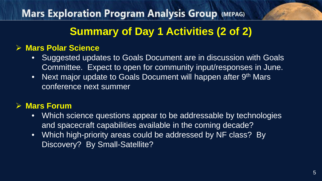**Mars Exploration Program Analysis Group (MEPAG) Summary of Day 1 Activities (2 of 2)**

#### **Mars Polar Science**

- Suggested updates to Goals Document are in discussion with Goals Committee. Expect to open for community input/responses in June.
- Next major update to Goals Document will happen after 9<sup>th</sup> Mars conference next summer

#### **Mars Forum**

- Which science questions appear to be addressable by technologies and spacecraft capabilities available in the coming decade?
- Which high-priority areas could be addressed by NF class? By Discovery? By Small-Satellite?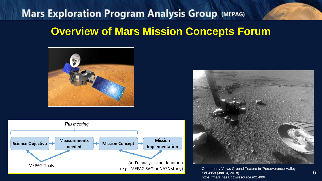# **Mars Exploration Program Analysis Group (MEPAG) Overview of Mars Mission Concepts Forum**







Opportunity Views Ground Texture in 'Perseverance Valley' Sol 4958 (Jan. 4, 2018) https://mars.nasa.gov/resources/21499/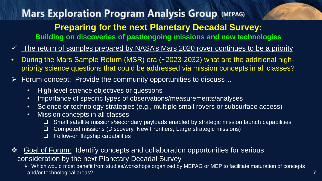# **Mars Exploration Program Analysis Group (MEPAG)**

## **Preparing for the next Planetary Decadal Survey:**

**Building on discoveries of past/ongoing missions and new technologies**

- The return of samples prepared by NASA's Mars 2020 rover continues to be a priority
- During the Mars Sample Return (MSR) era (~2023-2032) what are the additional highpriority science questions that could be addressed via mission concepts in all classes?
- $\triangleright$  Forum concept: Provide the community opportunities to discuss...
	- High-level science objectives or questions
	- Importance of specific types of observations/measurements/analyses
	- Science or technology strategies (e.g., multiple small rovers or subsurface access)
	- Mission concepts in all classes
		- $\Box$  Small satellite missions/secondary payloads enabled by strategic mission launch capabilities
		- □ Competed missions (Discovery, New Frontiers, Large strategic missions)
		- $\Box$  Follow-on flagship capabilities
- **❖** Goal of Forum: Identify concepts and collaboration opportunities for serious consideration by the next Planetary Decadal Survey
	- Which would most benefit from studies/workshops organized by MEPAG or MEP to facilitate maturation of concepts and/or technological areas?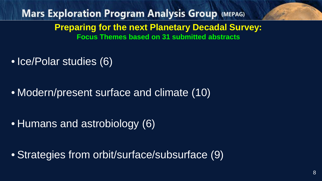**Mars Exploration Program Analysis Group (MEPAG) Preparing for the next Planetary Decadal Survey: Focus Themes based on 31 submitted abstracts**

• Ice/Polar studies (6)

• Modern/present surface and climate (10)

• Humans and astrobiology (6)

• Strategies from orbit/surface/subsurface (9)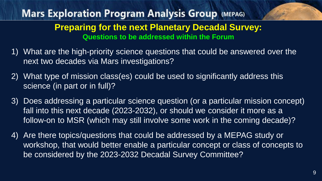# **Mars Exploration Program Analysis Group (MEPAG) Preparing for the next Planetary Decadal Survey: Questions to be addressed within the Forum**

- 1) What are the high-priority science questions that could be answered over the next two decades via Mars investigations?
- 2) What type of mission class(es) could be used to significantly address this science (in part or in full)?
- 3) Does addressing a particular science question (or a particular mission concept) fall into this next decade (2023-2032), or should we consider it more as a follow-on to MSR (which may still involve some work in the coming decade)?
- 4) Are there topics/questions that could be addressed by a MEPAG study or workshop, that would better enable a particular concept or class of concepts to be considered by the 2023-2032 Decadal Survey Committee?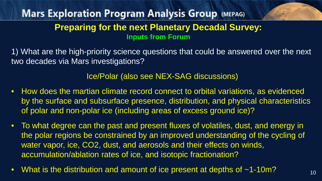1) What are the high-priority science questions that could be answered over the next two decades via Mars investigations?

Ice/Polar (also see NEX-SAG discussions)

- How does the martian climate record connect to orbital variations, as evidenced by the surface and subsurface presence, distribution, and physical characteristics of polar and non-polar ice (including areas of excess ground ice)?
- To what degree can the past and present fluxes of volatiles, dust, and energy in the polar regions be constrained by an improved understanding of the cycling of water vapor, ice, CO2, dust, and aerosols and their effects on winds, accumulation/ablation rates of ice, and isotopic fractionation?
- What is the distribution and amount of ice present at depths of ~1-10m?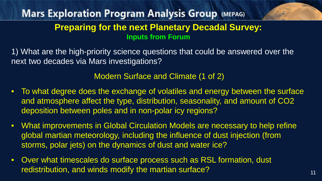1) What are the high-priority science questions that could be answered over the next two decades via Mars investigations?

#### Modern Surface and Climate (1 of 2)

- To what degree does the exchange of volatiles and energy between the surface and atmosphere affect the type, distribution, seasonality, and amount of CO2 deposition between poles and in non-polar icy regions?
- What improvements in Global Circulation Models are necessary to help refine global martian meteorology, including the influence of dust injection (from storms, polar jets) on the dynamics of dust and water ice?
- Over what timescales do surface process such as RSL formation, dust redistribution, and winds modify the martian surface?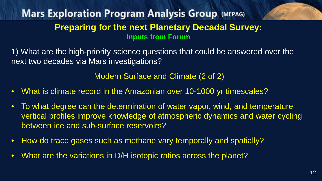1) What are the high-priority science questions that could be answered over the next two decades via Mars investigations?

Modern Surface and Climate (2 of 2)

- What is climate record in the Amazonian over 10-1000 yr timescales?
- To what degree can the determination of water vapor, wind, and temperature vertical profiles improve knowledge of atmospheric dynamics and water cycling between ice and sub-surface reservoirs?
- How do trace gases such as methane vary temporally and spatially?
- What are the variations in D/H isotopic ratios across the planet?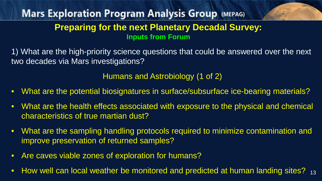1) What are the high-priority science questions that could be answered over the next two decades via Mars investigations?

Humans and Astrobiology (1 of 2)

- What are the potential biosignatures in surface/subsurface ice-bearing materials?
- What are the health effects associated with exposure to the physical and chemical characteristics of true martian dust?
- What are the sampling handling protocols required to minimize contamination and improve preservation of returned samples?
- Are caves viable zones of exploration for humans?
- How well can local weather be monitored and predicted at human landing sites?  $_{13}$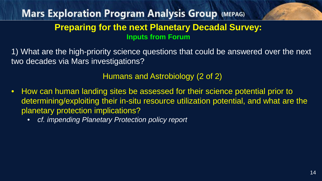1) What are the high-priority science questions that could be answered over the next two decades via Mars investigations?

Humans and Astrobiology (2 of 2)

- How can human landing sites be assessed for their science potential prior to determining/exploiting their in-situ resource utilization potential, and what are the planetary protection implications?
	- *cf. impending Planetary Protection policy report*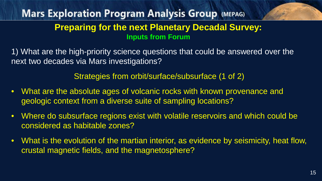1) What are the high-priority science questions that could be answered over the next two decades via Mars investigations?

Strategies from orbit/surface/subsurface (1 of 2)

- What are the absolute ages of volcanic rocks with known provenance and geologic context from a diverse suite of sampling locations?
- Where do subsurface regions exist with volatile reservoirs and which could be considered as habitable zones?
- What is the evolution of the martian interior, as evidence by seismicity, heat flow, crustal magnetic fields, and the magnetosphere?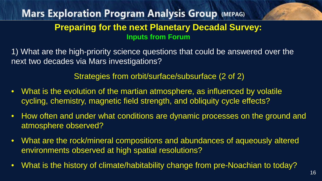1) What are the high-priority science questions that could be answered over the next two decades via Mars investigations?

#### Strategies from orbit/surface/subsurface (2 of 2)

- What is the evolution of the martian atmosphere, as influenced by volatile cycling, chemistry, magnetic field strength, and obliquity cycle effects?
- How often and under what conditions are dynamic processes on the ground and atmosphere observed?
- What are the rock/mineral compositions and abundances of aqueously altered environments observed at high spatial resolutions?
- What is the history of climate/habitability change from pre-Noachian to today?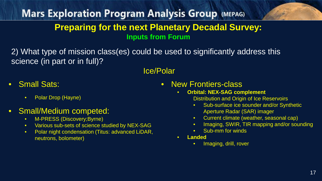2) What type of mission class(es) could be used to significantly address this science (in part or in full)?

#### Ice/Polar

- Small Sats:
	- Polar Drop (Hayne)

#### • Small/Medium competed:

- M-PRESS (Discovery;Byrne)
- Various sub-sets of science studied by NEX-SAG
- Polar night condensation (Titus: advanced LiDAR, neutrons, bolometer)
- New Frontiers-class
	- **Orbital: NEX-SAG complement** Distribution and Origin of Ice Reservoirs
		- Sub-surface ice sounder and/or Synthetic Aperture Radar (SAR) imager
		- Current climate (weather, seasonal cap)
		- Imaging, SWIR, TIR mapping and/or sounding
		- Sub-mm for winds
	- **Landed**
		- Imaging, drill, rover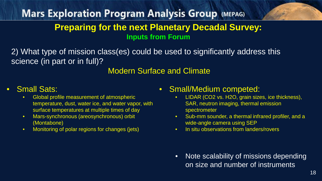2) What type of mission class(es) could be used to significantly address this science (in part or in full)?

#### Modern Surface and Climate

- Small Sats: Global profile measurement of atmospheric temperature, dust, water ice, and water vapor, with surface temperatures at multiple times of day
	- Mars-synchronous (areosynchronous) orbit (Montabone)
	- Monitoring of polar regions for changes (jets)

#### • Small/Medium competed:

- LIDAR (CO2 vs. H2O, grain sizes, ice thickness), SAR, neutron imaging, thermal emission spectrometer
- Sub-mm sounder, a thermal infrared profiler, and a wide-angle camera using SEP
- In situ observations from landers/rovers

• Note scalability of missions depending on size and number of instruments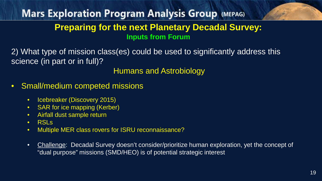2) What type of mission class(es) could be used to significantly address this science (in part or in full)?

Humans and Astrobiology

- Small/medium competed missions
	- Icebreaker (Discovery 2015)
	- SAR for ice mapping (Kerber)
	- Airfall dust sample return
	- RSLs
	- Multiple MER class rovers for ISRU reconnaissance?
	- Challenge: Decadal Survey doesn't consider/prioritize human exploration, yet the concept of "dual purpose" missions (SMD/HEO) is of potential strategic interest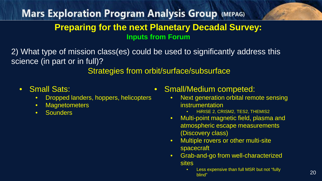2) What type of mission class(es) could be used to significantly address this science (in part or in full)?

Strategies from orbit/surface/subsurface

- 
- Small Sats: Dropped landers, hoppers, helicopters
	- Magnetometers
	- Sounders
- Small/Medium competed:
	- Next generation orbital remote sensing instrumentation
		- HiRISE 2, CRISM2, TES2, THEMIS2
	- Multi-point magnetic field, plasma and atmospheric escape measurements (Discovery class)
	- Multiple rovers or other multi-site spacecraft
	- Grab-and-go from well-characterized sites<br>• Less expensive than full MSR but not "fully
		- blind"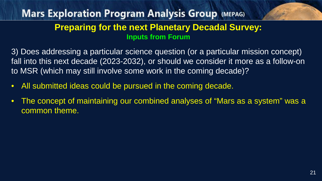3) Does addressing a particular science question (or a particular mission concept) fall into this next decade (2023-2032), or should we consider it more as a follow-on to MSR (which may still involve some work in the coming decade)?

- All submitted ideas could be pursued in the coming decade.
- The concept of maintaining our combined analyses of "Mars as a system" was a common theme.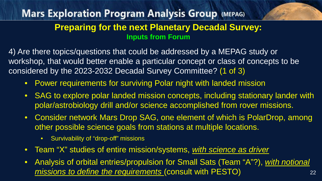4) Are there topics/questions that could be addressed by a MEPAG study or workshop, that would better enable a particular concept or class of concepts to be considered by the 2023-2032 Decadal Survey Committee? (1 of 3)

- Power requirements for surviving Polar night with landed mission
- SAG to explore polar landed mission concepts, including stationary lander with polar/astrobiology drill and/or science accomplished from rover missions.
- Consider network Mars Drop SAG, one element of which is PolarDrop, among other possible science goals from stations at multiple locations.
	- Survivability of "drop-off" missions
- Team "X" studies of entire mission/systems, *with science as driver*
- 22 • Analysis of orbital entries/propulsion for Small Sats (Team "A"?), *with notional missions to define the requirements* (consult with PESTO)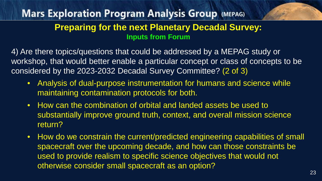4) Are there topics/questions that could be addressed by a MEPAG study or workshop, that would better enable a particular concept or class of concepts to be considered by the 2023-2032 Decadal Survey Committee? (2 of 3)

- Analysis of dual-purpose instrumentation for humans and science while maintaining contamination protocols for both.
- How can the combination of orbital and landed assets be used to substantially improve ground truth, context, and overall mission science return?
- How do we constrain the current/predicted engineering capabilities of small spacecraft over the upcoming decade, and how can those constraints be used to provide realism to specific science objectives that would not otherwise consider small spacecraft as an option?